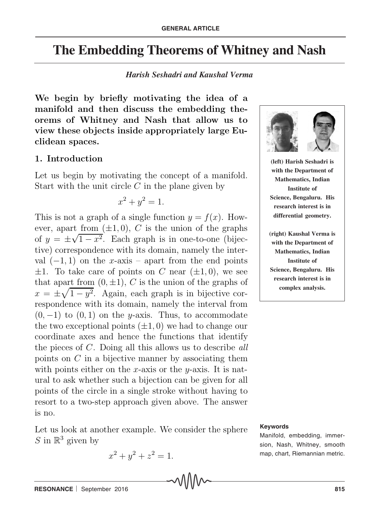# **The Embedding Theorems of Whitney and Nash**

## *Harish Seshadri and Kaushal Verma*

**We begin by briefly motivating the idea of a manifold and then discuss the embedding theorems of Whitney and Nash that allow us to view these objects inside appropriately large Euclidean spaces.**

## **1. Introduction**

Let us begin by motivating the concept of a manifold. Start with the unit circle  $C$  in the plane given by

$$
x^2 + y^2 = 1.
$$

This is not a graph of a single function  $y = f(x)$ . However, apart from  $(\pm 1, 0)$ , C is the union of the graphs of  $y = \pm \sqrt{1 - x^2}$ . Each graph is in one-to-one (bijective) correspondence with its domain, namely the interval  $(-1, 1)$  on the x-axis – apart from the end points  $\pm 1$ . To take care of points on C near  $(\pm 1, 0)$ , we see that apart from  $(0, \pm 1)$ , C is the union of the graphs of  $x = \pm \sqrt{1 - y^2}$ . Again, each graph is in bijective correspondence with its domain, namely the interval from  $(0, -1)$  to  $(0, 1)$  on the y-axis. Thus, to accommodate the two exceptional points  $(\pm 1, 0)$  we had to change our coordinate axes and hence the functions that identify the pieces of C. Doing all this allows us to describe *all* points on  $C$  in a bijective manner by associating them with points either on the x-axis or the  $y$ -axis. It is natural to ask whether such a bijection can be given for all points of the circle in a single stroke without having to resort to a two-step approach given above. The answer is no.

Let us look at another example. We consider the sphere S in  $\mathbb{R}^3$  given by

$$
x^2 + y^2 + z^2 = 1.
$$



**(left) Harish Seshadri is with the Department of Mathematics, Indian Institute of Science, Bengaluru. His research interest is in differential geometry.**

**(right) Kaushal Verma is with the Department of Mathematics, Indian Institute of Science, Bengaluru. His research interest is in complex analysis.**

#### **Keywords**

Manifold, embedding, immersion, Nash, Whitney, smooth map, chart, Riemannian metric.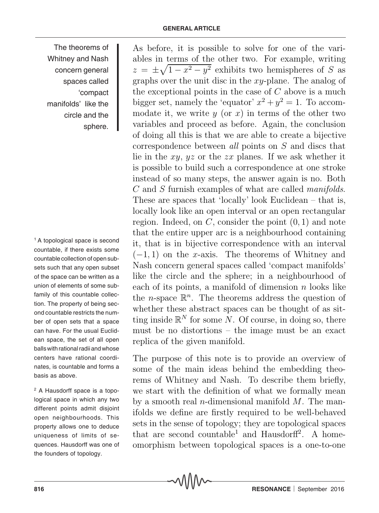The theorems of Whitney and Nash concern general spaces called 'compact manifolds' like the circle and the sphere.

<sup>1</sup> A topological space is second countable, if there exists some countable collection of open subsets such that any open subset of the space can be written as a union of elements of some subfamily of this countable collection. The property of being second countable restricts the number of open sets that a space can have. For the usual Euclidean space, the set of all open balls with rational radii and whose centers have rational coordinates, is countable and forms a basis as above.

2 A Hausdorff space is a topological space in which any two different points admit disjoint open neighbourhoods. This property allows one to deduce uniqueness of limits of sequences. Hausdorff was one of the founders of topology.

As before, it is possible to solve for one of the variables in terms of the other two. For example, writing  $z = \pm \sqrt{1 - x^2 - y^2}$  exhibits two hemispheres of S as graphs over the unit disc in the xy-plane. The analog of the exceptional points in the case of  $C$  above is a much bigger set, namely the 'equator'  $x^2 + y^2 = 1$ . To accommodate it, we write  $y$  (or  $x$ ) in terms of the other two variables and proceed as before. Again, the conclusion of doing all this is that we are able to create a bijective correspondence between *all* points on S and discs that lie in the  $xy$ ,  $yz$  or the  $zx$  planes. If we ask whether it is possible to build such a correspondence at one stroke instead of so many steps, the answer again is no. Both C and S furnish examples of what are called *manifolds*. These are spaces that 'locally' look Euclidean – that is, locally look like an open interval or an open rectangular region. Indeed, on  $C$ , consider the point  $(0, 1)$  and note that the entire upper arc is a neighbourhood containing it, that is in bijective correspondence with an interval  $(-1, 1)$  on the x-axis. The theorems of Whitney and Nash concern general spaces called 'compact manifolds' like the circle and the sphere; in a neighbourhood of each of its points, a manifold of dimension  $n$  looks like the *n*-space  $\mathbb{R}^n$ . The theorems address the question of whether these abstract spaces can be thought of as sitting inside  $\mathbb{R}^N$  for some N. Of course, in doing so, there must be no distortions – the image must be an exact replica of the given manifold.

The purpose of this note is to provide an overview of some of the main ideas behind the embedding theorems of Whitney and Nash. To describe them briefly, we start with the definition of what we formally mean by a smooth real *n*-dimensional manifold  $M$ . The manifolds we define are firstly required to be well-behaved sets in the sense of topology; they are topological spaces that are second countable<sup>1</sup> and Hausdorff<sup>2</sup>. A homeomorphism between topological spaces is a one-to-one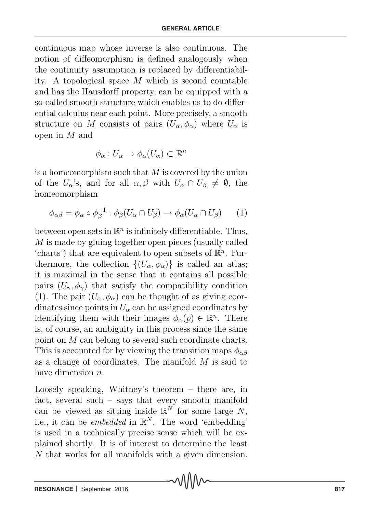continuous map whose inverse is also continuous. The notion of diffeomorphism is defined analogously when the continuity assumption is replaced by differentiability. A topological space M which is second countable and has the Hausdorff property, can be equipped with a so-called smooth structure which enables us to do differential calculus near each point. More precisely, a smooth structure on M consists of pairs  $(U_\alpha, \phi_\alpha)$  where  $U_\alpha$  is open in M and

$$
\phi_{\alpha}: U_{\alpha} \to \phi_{\alpha}(U_{\alpha}) \subset \mathbb{R}^{n}
$$

is a homeomorphism such that  $M$  is covered by the union of the  $U_{\alpha}$ 's, and for all  $\alpha, \beta$  with  $U_{\alpha} \cap U_{\beta} \neq \emptyset$ , the homeomorphism

$$
\phi_{\alpha\beta} = \phi_{\alpha} \circ \phi_{\beta}^{-1} : \phi_{\beta}(U_{\alpha} \cap U_{\beta}) \to \phi_{\alpha}(U_{\alpha} \cap U_{\beta}) \qquad (1)
$$

between open sets in  $\mathbb{R}^n$  is infinitely differentiable. Thus, M is made by gluing together open pieces (usually called 'charts') that are equivalent to open subsets of  $\mathbb{R}^n$ . Furthermore, the collection  $\{(U_\alpha, \phi_\alpha)\}\$ is called an atlas; it is maximal in the sense that it contains all possible pairs  $(U_\gamma, \phi_\gamma)$  that satisfy the compatibility condition (1). The pair  $(U_{\alpha}, \phi_{\alpha})$  can be thought of as giving coordinates since points in  $U_\alpha$  can be assigned coordinates by identifying them with their images  $\phi_{\alpha}(p) \in \mathbb{R}^{n}$ . There is, of course, an ambiguity in this process since the same point on M can belong to several such coordinate charts. This is accounted for by viewing the transition maps  $\phi_{\alpha\beta}$ as a change of coordinates. The manifold M is said to have dimension *n*.

Loosely speaking, Whitney's theorem – there are, in fact, several such – says that every smooth manifold can be viewed as sitting inside  $\mathbb{R}^N$  for some large N, i.e., it can be *embedded* in  $\mathbb{R}^N$ . The word 'embedding' is used in a technically precise sense which will be explained shortly. It is of interest to determine the least N that works for all manifolds with a given dimension.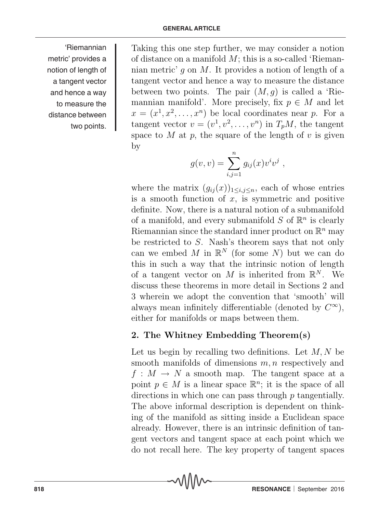'Riemannian metric' provides a notion of length of a tangent vector and hence a way to measure the distance between two points.

Taking this one step further, we may consider a notion of distance on a manifold  $M$ ; this is a so-called 'Riemannian metric' g on M. It provides a notion of length of a tangent vector and hence a way to measure the distance between two points. The pair  $(M, q)$  is called a 'Riemannian manifold'. More precisely, fix  $p \in M$  and let  $x = (x^1, x^2, \ldots, x^n)$  be local coordinates near p. For a tangent vector  $v = (v^1, v^2, \dots, v^n)$  in  $T_pM$ , the tangent space to M at p, the square of the length of v is given by

$$
g(v, v) = \sum_{i,j=1}^{n} g_{ij}(x)v^{i}v^{j} ,
$$

where the matrix  $(g_{ij}(x))_{1\leq i,j\leq n}$ , each of whose entries is a smooth function of  $x$ , is symmetric and positive definite. Now, there is a natural notion of a submanifold of a manifold, and every submanifold  $S$  of  $\mathbb{R}^n$  is clearly Riemannian since the standard inner product on  $\mathbb{R}^n$  may be restricted to S. Nash's theorem says that not only can we embed M in  $\mathbb{R}^N$  (for some N) but we can do this in such a way that the intrinsic notion of length of a tangent vector on M is inherited from  $\mathbb{R}^N$ . We discuss these theorems in more detail in Sections 2 and 3 wherein we adopt the convention that 'smooth' will always mean infinitely differentiable (denoted by  $C^{\infty}$ ), either for manifolds or maps between them.

## **2. The Whitney Embedding Theorem(s)**

Let us begin by recalling two definitions. Let  $M, N$  be smooth manifolds of dimensions  $m, n$  respectively and  $f: M \to N$  a smooth map. The tangent space at a point  $p \in M$  is a linear space  $\mathbb{R}^n$ ; it is the space of all directions in which one can pass through p tangentially. The above informal description is dependent on thinking of the manifold as sitting inside a Euclidean space already. However, there is an intrinsic definition of tangent vectors and tangent space at each point which we do not recall here. The key property of tangent spaces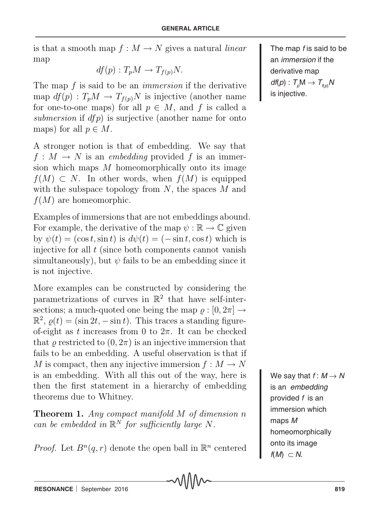is that a smooth map  $f : M \to N$  gives a natural *linear* map

$$
df(p): T_pM \to T_{f(p)}N.
$$

The map f is said to be an *immersion* if the derivative map  $df(p)$ :  $T_pM \to T_{f(p)}N$  is injective (another name for one-to-one maps) for all  $p \in M$ , and f is called a *submersion* if dfp) is surjective (another name for onto maps) for all  $p \in M$ .

A stronger notion is that of embedding. We say that  $f: M \to N$  is an *embedding* provided f is an immersion which maps  $M$  homeomorphically onto its image  $f(M) \subset N$ . In other words, when  $f(M)$  is equipped with the subspace topology from  $N$ , the spaces  $M$  and  $f(M)$  are homeomorphic.

Examples of immersions that are not embeddings abound. For example, the derivative of the map  $\psi : \mathbb{R} \to \mathbb{C}$  given by  $\psi(t) = (\cos t, \sin t)$  is  $d\psi(t) = (-\sin t, \cos t)$  which is injective for all  $t$  (since both components cannot vanish simultaneously), but  $\psi$  fails to be an embedding since it is not injective.

More examples can be constructed by considering the parametrizations of curves in  $\mathbb{R}^2$  that have self-intersections; a much-quoted one being the map  $\rho : [0, 2\pi] \rightarrow$  $\mathbb{R}^2$ ,  $\rho(t) = (\sin 2t, -\sin t)$ . This traces a standing figureof-eight as t increases from 0 to  $2\pi$ . It can be checked that  $\rho$  restricted to  $(0, 2\pi)$  is an injective immersion that fails to be an embedding. A useful observation is that if M is compact, then any injective immersion  $f: M \to N$ is an embedding. With all this out of the way, here is then the first statement in a hierarchy of embedding theorems due to Whitney.

**Theorem 1.** *Any compact manifold* M *of dimension* n *can be embedded in*  $\mathbb{R}^N$  *for sufficiently large* N.

*Proof.* Let  $B^n(q, r)$  denote the open ball in  $\mathbb{R}^n$  centered

The map *f* is said to be an *immersion* if the derivative map  $df(p): T_pM \to T_{f(p)}N$ is injective.

We say that  $f: M \rightarrow N$ is an *embedding* provided *f* is an immersion which maps *M* homeomorphically onto its image  $f(M) \subset N$ .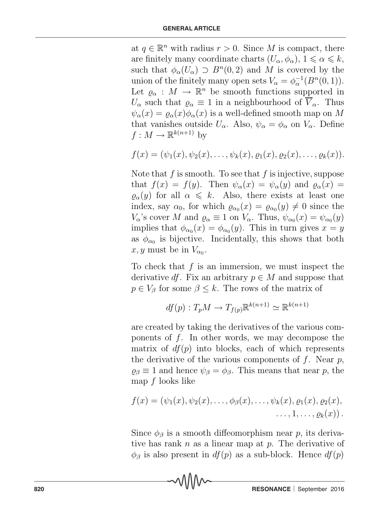at  $q \in \mathbb{R}^n$  with radius  $r > 0$ . Since M is compact, there are finitely many coordinate charts  $(U_{\alpha}, \phi_{\alpha})$ ,  $1 \leq \alpha \leq k$ , such that  $\phi_{\alpha}(U_{\alpha}) \supset B^{n}(0, 2)$  and M is covered by the union of the finitely many open sets  $V_{\alpha} = \phi_{\alpha}^{-1}(B^n(0, 1)).$ Let  $\varrho_{\alpha}: M \to \mathbb{R}^n$  be smooth functions supported in U<sub>α</sub> such that  $\varrho_{\alpha} \equiv 1$  in a neighbourhood of  $\overline{V}_{\alpha}$ . Thus  $\psi_{\alpha}(x) = \varrho_{\alpha}(x)\phi_{\alpha}(x)$  is a well-defined smooth map on M that vanishes outside  $U_{\alpha}$ . Also,  $\psi_{\alpha} = \phi_{\alpha}$  on  $V_{\alpha}$ . Define  $f: M \to \mathbb{R}^{k(n+1)}$  by

$$
f(x) = (\psi_1(x), \psi_2(x), \dots, \psi_k(x), \varrho_1(x), \varrho_2(x), \dots, \varrho_k(x)).
$$

Note that  $f$  is smooth. To see that  $f$  is injective, suppose that  $f(x) = f(y)$ . Then  $\psi_{\alpha}(x) = \psi_{\alpha}(y)$  and  $\varrho_{\alpha}(x) =$  $\varrho_{\alpha}(y)$  for all  $\alpha \leq k$ . Also, there exists at least one index, say  $\alpha_0$ , for which  $\varrho_{\alpha_0}(x) = \varrho_{\alpha_0}(y) \neq 0$  since the V<sub>α</sub>'s cover M and  $\varrho_{\alpha} \equiv 1$  on  $V_{\alpha}$ . Thus,  $\psi_{\alpha_0}(x) = \psi_{\alpha_0}(y)$ implies that  $\phi_{\alpha_0}(x) = \phi_{\alpha_0}(y)$ . This in turn gives  $x = y$ as  $\phi_{\alpha}$  is bijective. Incidentally, this shows that both  $x, y$  must be in  $V_{\alpha_0}$ .

To check that  $f$  is an immersion, we must inspect the derivative df. Fix an arbitrary  $p \in M$  and suppose that  $p \in V_\beta$  for some  $\beta \leq k$ . The rows of the matrix of

$$
df(p): T_pM \to T_{f(p)}\mathbb{R}^{k(n+1)} \simeq \mathbb{R}^{k(n+1)}
$$

are created by taking the derivatives of the various components of  $f$ . In other words, we may decompose the matrix of  $df(p)$  into blocks, each of which represents the derivative of the various components of  $f$ . Near  $p$ ,  $\rho_{\beta} \equiv 1$  and hence  $\psi_{\beta} = \phi_{\beta}$ . This means that near p, the map  $f$  looks like

$$
f(x) = (\psi_1(x), \psi_2(x), \dots, \phi_\beta(x), \dots, \psi_k(x), \varrho_1(x), \varrho_2(x), \dots, 1, \dots, \varrho_k(x)).
$$

Since  $\phi_\beta$  is a smooth diffeomorphism near p, its derivative has rank  $n$  as a linear map at  $p$ . The derivative of  $\phi_{\beta}$  is also present in  $df(p)$  as a sub-block. Hence  $df(p)$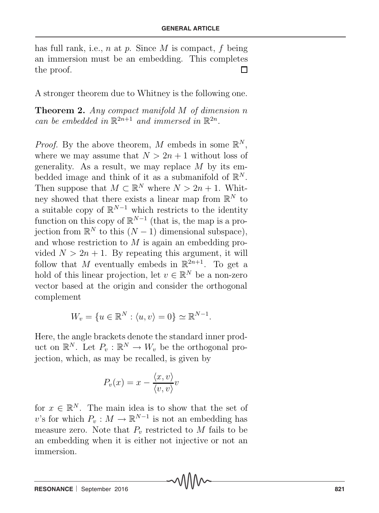has full rank, i.e., n at p. Since M is compact, f being an immersion must be an embedding. This completes the proof.  $\Box$ 

A stronger theorem due to Whitney is the following one.

**Theorem 2.** *Any compact manifold* M *of dimension* n *can be embedded in*  $\mathbb{R}^{2n+1}$  *and immersed in*  $\mathbb{R}^{2n}$ *.* 

*Proof.* By the above theorem, M embeds in some  $\mathbb{R}^N$ , where we may assume that  $N > 2n + 1$  without loss of generality. As a result, we may replace  $M$  by its embedded image and think of it as a submanifold of  $\mathbb{R}^N$ . Then suppose that  $M \subset \mathbb{R}^N$  where  $N > 2n + 1$ . Whitney showed that there exists a linear map from R*<sup>N</sup>* to a suitable copy of  $\mathbb{R}^{N-1}$  which restricts to the identity function on this copy of  $\mathbb{R}^{N-1}$  (that is, the map is a projection from  $\mathbb{R}^N$  to this  $(N-1)$  dimensional subspace), and whose restriction to M is again an embedding provided  $N > 2n + 1$ . By repeating this argument, it will follow that M eventually embeds in  $\mathbb{R}^{2n+1}$ . To get a hold of this linear projection, let  $v \in \mathbb{R}^N$  be a non-zero vector based at the origin and consider the orthogonal complement

$$
W_v = \{ u \in \mathbb{R}^N : \langle u, v \rangle = 0 \} \simeq \mathbb{R}^{N-1}.
$$

Here, the angle brackets denote the standard inner product on  $\mathbb{R}^N$ . Let  $P_v : \mathbb{R}^N \to W_v$  be the orthogonal projection, which, as may be recalled, is given by

$$
P_v(x) = x - \frac{\langle x, v \rangle}{\langle v, v \rangle} v
$$

for  $x \in \mathbb{R}^N$ . The main idea is to show that the set of v's for which  $P_v : M \to \mathbb{R}^{N-1}$  is not an embedding has measure zero. Note that  $P<sub>v</sub>$  restricted to M fails to be an embedding when it is either not injective or not an immersion.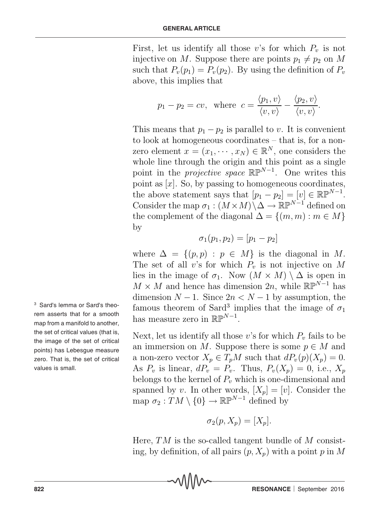First, let us identify all those v's for which  $P_v$  is not injective on M. Suppose there are points  $p_1 \neq p_2$  on M such that  $P_v(p_1) = P_v(p_2)$ . By using the definition of  $P_v$ above, this implies that

$$
p_1 - p_2 = cv
$$
, where  $c = \frac{\langle p_1, v \rangle}{\langle v, v \rangle} - \frac{\langle p_2, v \rangle}{\langle v, v \rangle}$ .

This means that  $p_1 - p_2$  is parallel to v. It is convenient to look at homogeneous coordinates – that is, for a nonzero element  $x = (x_1, \dots, x_N) \in \mathbb{R}^N$ , one considers the whole line through the origin and this point as a single point in the *projective space*  $\mathbb{RP}^{N-1}$ . One writes this point as  $[x]$ . So, by passing to homogeneous coordinates, the above statement says that  $[p_1 - p_2] = [v] \in \mathbb{R} \mathbb{P}^{N-1}$ . Consider the map  $\sigma_1$  :  $(M \times M) \backslash \Delta \rightarrow \mathbb{RP}^{N-1}$  defined on the complement of the diagonal  $\Delta = \{(m, m) : m \in M\}$ by

$$
\sigma_1(p_1, p_2) = [p_1 - p_2]
$$

where  $\Delta = \{(p, p) : p \in M\}$  is the diagonal in M. The set of all v's for which  $P<sub>v</sub>$  is not injective on M lies in the image of  $\sigma_1$ . Now  $(M \times M) \setminus \Delta$  is open in  $M \times M$  and hence has dimension 2n, while  $\mathbb{RP}^{N-1}$  has dimension  $N-1$ . Since  $2n < N-1$  by assumption, the famous theorem of Sard<sup>3</sup> implies that the image of  $\sigma_1$ has measure zero in RP*<sup>N</sup>*−<sup>1</sup> .

Next, let us identify all those  $v$ 's for which  $P_v$  fails to be an immersion on M. Suppose there is some  $p \in M$  and a non-zero vector  $X_p \in T_pM$  such that  $dP_v(p)(X_p) = 0$ . As  $P_v$  is linear,  $dP_v = P_v$ . Thus,  $P_v(X_p) = 0$ , i.e.,  $X_p$ belongs to the kernel of  $P<sub>v</sub>$  which is one-dimensional and spanned by v. In other words,  $[X_p]=[v]$ . Consider the map  $\sigma_2 : TM \setminus \{0\} \to \mathbb{RP}^{N-1}$  defined by

$$
\sigma_2(p, X_p) = [X_p].
$$

Here,  $TM$  is the so-called tangent bundle of M consisting, by definition, of all pairs  $(p, X_p)$  with a point p in M

3 Sard's lemma or Sard's theorem asserts that for a smooth map from a manifold to another, the set of critical values (that is, the image of the set of critical points) has Lebesgue measure zero. That is, the set of critical values is small.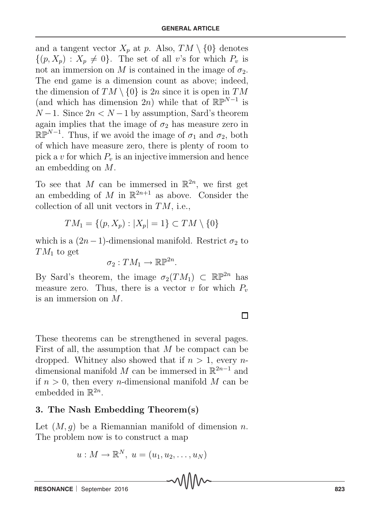and a tangent vector  $X_p$  at p. Also,  $TM \setminus \{0\}$  denotes  $\{(p, X_p) : X_p \neq 0\}$ . The set of all v's for which  $P_v$  is not an immersion on M is contained in the image of  $\sigma_2$ . The end game is a dimension count as above; indeed, the dimension of  $TM \setminus \{0\}$  is  $2n$  since it is open in  $TM$ (and which has dimension 2n) while that of  $\mathbb{RP}^{N-1}$  is  $N-1$ . Since  $2n < N-1$  by assumption, Sard's theorem again implies that the image of  $\sigma_2$  has measure zero in  $\mathbb{RP}^{N-1}$ . Thus, if we avoid the image of  $\sigma_1$  and  $\sigma_2$ , both of which have measure zero, there is plenty of room to pick a v for which  $P_v$  is an injective immersion and hence an embedding on M.

To see that M can be immersed in  $\mathbb{R}^{2n}$ , we first get an embedding of M in  $\mathbb{R}^{2n+1}$  as above. Consider the collection of all unit vectors in  $TM$ , i.e.,

$$
TM_1 = \{(p, X_p) : |X_p| = 1\} \subset TM \setminus \{0\}
$$

which is a  $(2n-1)$ -dimensional manifold. Restrict  $\sigma_2$  to  $TM_1$  to get

$$
\sigma_2:TM_1\to\mathbb{R}\mathbb{P}^{2n}.
$$

By Sard's theorem, the image  $\sigma_2(TM_1) \subset \mathbb{RP}^{2n}$  has measure zero. Thus, there is a vector v for which  $P_v$ is an immersion on M.

These theorems can be strengthened in several pages. First of all, the assumption that  $M$  be compact can be dropped. Whitney also showed that if  $n > 1$ , every ndimensional manifold M can be immersed in R<sup>2</sup>*n*−<sup>1</sup> and if  $n > 0$ , then every *n*-dimensional manifold M can be embedded in  $\mathbb{R}^{2n}$ .

## **3. The Nash Embedding Theorem(s)**

Let  $(M, q)$  be a Riemannian manifold of dimension n. The problem now is to construct a map

$$
u: M \to \mathbb{R}^N, u = (u_1, u_2, \dots, u_N)
$$

## $\Box$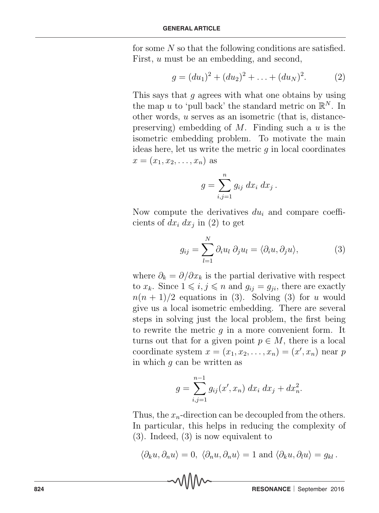for some N so that the following conditions are satisfied. First, u must be an embedding, and second,

$$
g = (du_1)^2 + (du_2)^2 + \ldots + (du_N)^2.
$$
 (2)

This says that g agrees with what one obtains by using the map u to 'pull back' the standard metric on  $\mathbb{R}^N$ . In other words, u serves as an isometric (that is, distancepreserving) embedding of  $M$ . Finding such a  $u$  is the isometric embedding problem. To motivate the main ideas here, let us write the metric  $q$  in local coordinates  $x = (x_1, x_2, \ldots, x_n)$  as

$$
g = \sum_{i,j=1}^n g_{ij} dx_i dx_j.
$$

Now compute the derivatives du*<sup>i</sup>* and compare coefficients of  $dx_i dx_j$  in (2) to get

$$
g_{ij} = \sum_{l=1}^{N} \partial_i u_l \, \partial_j u_l = \langle \partial_i u, \partial_j u \rangle, \tag{3}
$$

where  $\partial_k = \partial/\partial x_k$  is the partial derivative with respect to  $x_k$ . Since  $1 \leq i, j \leq n$  and  $g_{ij} = g_{ji}$ , there are exactly  $n(n + 1)/2$  equations in (3). Solving (3) for u would give us a local isometric embedding. There are several steps in solving just the local problem, the first being to rewrite the metric  $q$  in a more convenient form. It turns out that for a given point  $p \in M$ , there is a local coordinate system  $x = (x_1, x_2, \ldots, x_n) = (x', x_n)$  near p in which  $q$  can be written as

$$
g = \sum_{i,j=1}^{n-1} g_{ij}(x',x_n) \, dx_i \, dx_j + dx_n^2.
$$

Thus, the  $x_n$ -direction can be decoupled from the others. In particular, this helps in reducing the complexity of (3). Indeed, (3) is now equivalent to

$$
\langle \partial_k u, \partial_n u \rangle = 0, \ \langle \partial_n u, \partial_n u \rangle = 1 \text{ and } \langle \partial_k u, \partial_l u \rangle = g_{kl}.
$$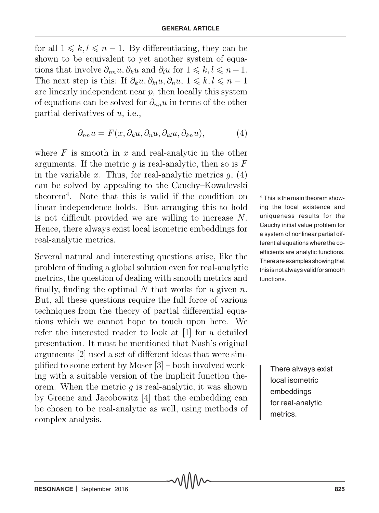for all  $1 \leq k, l \leq n - 1$ . By differentiating, they can be shown to be equivalent to yet another system of equations that involve  $\partial_{nn} u, \partial_k u$  and  $\partial_l u$  for  $1 \leq k, l \leq n-1$ . The next step is this: If  $\partial_k u, \partial_k u, \partial_n u, 1 \leq k, l \leq n - 1$ are linearly independent near  $p$ , then locally this system of equations can be solved for ∂*nn*u in terms of the other partial derivatives of  $u$ , i.e.,

$$
\partial_{nn}u = F(x, \partial_k u, \partial_n u, \partial_{kl}u, \partial_{kn}u), \tag{4}
$$

where  $F$  is smooth in  $x$  and real-analytic in the other arguments. If the metric  $q$  is real-analytic, then so is  $F$ in the variable x. Thus, for real-analytic metrics  $q$ ,  $(4)$ can be solved by appealing to the Cauchy–Kowalevski theorem<sup>4</sup>. Note that this is valid if the condition on linear independence holds. But arranging this to hold is not difficult provided we are willing to increase N. Hence, there always exist local isometric embeddings for real-analytic metrics.

Several natural and interesting questions arise, like the problem of finding a global solution even for real-analytic metrics, the question of dealing with smooth metrics and finally, finding the optimal  $N$  that works for a given  $n$ . But, all these questions require the full force of various techniques from the theory of partial differential equations which we cannot hope to touch upon here. We refer the interested reader to look at [1] for a detailed presentation. It must be mentioned that Nash's original arguments [2] used a set of different ideas that were simplified to some extent by Moser [3] – both involved working with a suitable version of the implicit function theorem. When the metric  $q$  is real-analytic, it was shown by Greene and Jacobowitz [4] that the embedding can be chosen to be real-analytic as well, using methods of complex analysis.

4 This is the main theorem showing the local existence and uniqueness results for the Cauchy initial value problem for a system of nonlinear partial differential equations where the coefficients are analytic functions. There are examples showing that this is not always valid for smooth functions.

> There always exist local isometric embeddings for real-analytic metrics.